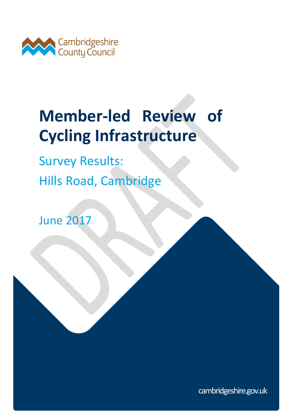

# **Member-led Review of Cycling Infrastructure**

Survey Results: Hills Road, Cambridge

June 2017

cambridgeshire.gov.uk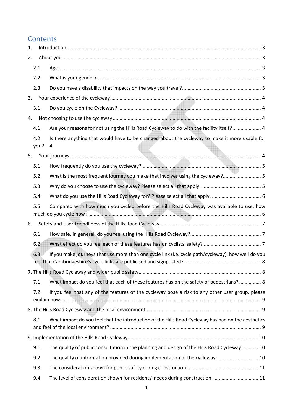# **Contents**

| 1. |             |                                                                                                    |  |
|----|-------------|----------------------------------------------------------------------------------------------------|--|
| 2. |             |                                                                                                    |  |
|    | 2.1         |                                                                                                    |  |
|    | 2.2         |                                                                                                    |  |
|    | 2.3         |                                                                                                    |  |
| 3. |             |                                                                                                    |  |
|    | 3.1         |                                                                                                    |  |
| 4. |             |                                                                                                    |  |
|    | 4.1         | Are your reasons for not using the Hills Road Cycleway to do with the facility itself? 4           |  |
|    | 4.2<br>you? | Is there anything that would have to be changed about the cycleway to make it more usable for<br>4 |  |
| 5. |             |                                                                                                    |  |
|    | 5.1         |                                                                                                    |  |
|    | 5.2         | What is the most frequent journey you make that involves using the cycleway? 5                     |  |
|    | 5.3         |                                                                                                    |  |
|    | 5.4         |                                                                                                    |  |
|    | 5.5         | Compared with how much you cycled before the Hills Road Cycleway was available to use, how         |  |
| 6. |             |                                                                                                    |  |
|    | 6.1         |                                                                                                    |  |
|    | 6.2         |                                                                                                    |  |
|    | 6.3         | If you make journeys that use more than one cycle link (i.e. cycle path/cycleway), how well do you |  |
|    |             |                                                                                                    |  |
|    | 7.1         | What impact do you feel that each of these features has on the safety of pedestrians? 8            |  |
|    | 7.2         | If you feel that any of the features of the cycleway pose a risk to any other user group, please   |  |
|    |             |                                                                                                    |  |
|    | 8.1         | What impact do you feel that the introduction of the Hills Road Cycleway has had on the aesthetics |  |
|    |             |                                                                                                    |  |
|    | 9.1         | The quality of public consultation in the planning and design of the Hills Road Cycleway:  10      |  |
|    | 9.2         | The quality of information provided during implementation of the cycleway: 10                      |  |
|    | 9.3         |                                                                                                    |  |
|    | 9.4         | The level of consideration shown for residents' needs during construction:  11                     |  |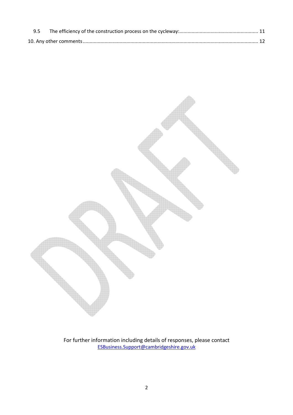

For further information including details of responses, please contact ESBusiness.Support@cambridgeshire.gov.uk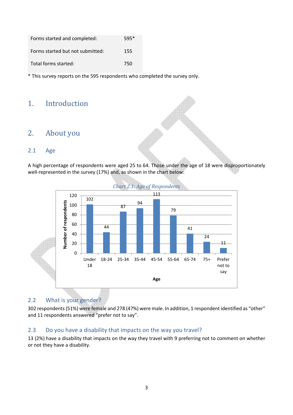| Forms started and completed:     | $595*$ |
|----------------------------------|--------|
| Forms started but not submitted: | 155    |
| Total forms started:             | 750    |

\* This survey reports on the 595 respondents who completed the survey only.

## 1. Introduction

## 2. About you

#### 2.1 Age

A high percentage of respondents were aged 25 to 64. Those under the age of 18 were disproportionately well-represented in the survey (17%) and, as shown in the chart below:



*Chart 2.1: Age of Respondents* 

#### 2.2 What is your gender?

302 respondents (51%) were female and 278 (47%) were male. In addition, 1 respondent identified as "other" and 11 respondents answered "prefer not to say".

#### 2.3 Do you have a disability that impacts on the way you travel?

13 (2%) have a disability that impacts on the way they travel with 9 preferring not to comment on whether or not they have a disability.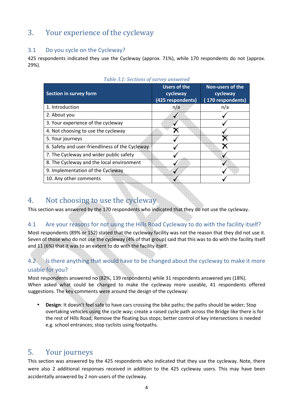# 3. Your experience of the cycleway

#### 3.1 Do you cycle on the Cycleway?

425 respondents indicated they use the Cycleway (approx. 71%), while 170 respondents do not (approx. 29%).

| Tuble 5.1. Sections of survey answered          |                                                      |                                                  |  |  |  |  |
|-------------------------------------------------|------------------------------------------------------|--------------------------------------------------|--|--|--|--|
| Section in survey form                          | <b>Users of the</b><br>cycleway<br>(425 respondents) | Non-users of the<br>cycleway<br>170 respondents) |  |  |  |  |
| 1. Introduction                                 | n/a                                                  | n/a                                              |  |  |  |  |
| 2. About you                                    |                                                      |                                                  |  |  |  |  |
| 3. Your experience of the cycleway              |                                                      |                                                  |  |  |  |  |
| 4. Not choosing to use the cycleway             |                                                      |                                                  |  |  |  |  |
| 5. Your journeys                                |                                                      |                                                  |  |  |  |  |
| 6. Safety and user-friendliness of the Cycleway |                                                      |                                                  |  |  |  |  |
| 7. The Cycleway and wider public safety         |                                                      |                                                  |  |  |  |  |
| 8. The Cycleway and the local environment       |                                                      |                                                  |  |  |  |  |
| 9. Implementation of the Cycleway               |                                                      |                                                  |  |  |  |  |
| 10. Any other comments                          |                                                      |                                                  |  |  |  |  |
|                                                 |                                                      |                                                  |  |  |  |  |

#### *Table 3.1: Sections of survey answered*

## 4. Not choosing to use the cycleway

This section was answered by the 170 respondents who indicated that they do not use the cycleway.

#### 4.1 Are your reasons for not using the Hills Road Cycleway to do with the facility itself?

Most respondents (89% or 152) stated that the cycleway facility was not the reason that they did not use it. Seven of those who do not use the cycleway (4% of that group) said that this was to do with the facility itself and 11 (6%) that it was to an extent to do with the facility itself.

# 4.2 Is there anything that would have to be changed about the cycleway to make it more

#### usable for you?

Most respondents answered no (82%, 139 respondents) while 31 respondents answered yes (18%). When asked what could be changed to make the cycleway more useable, 41 respondents offered suggestions. The key comments were around the design of the cycleway:

• **Design**: It doesn't feel safe to have cars crossing the bike paths; the paths should be wider; Stop overtaking vehicles using the cycle way; create a raised cycle path across the Bridge like there is for the rest of Hills Road; Remove the floating bus stops; better control of key intersections is needed e.g. school entrances; stop cyclists using footpaths.

# 5. Your journeys

This section was answered by the 425 respondents who indicated that they use the cycleway. Note, there were also 2 additional responses received in addition to the 425 cycleway users. This may have been accidentally answered by 2 non-users of the cycleway.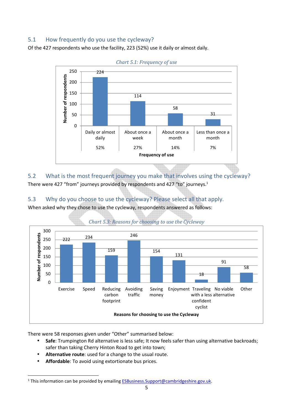#### 5.1 How frequently do you use the cycleway?

Of the 427 respondents who use the facility, 223 (52%) use it daily or almost daily.





5.2 What is the most frequent journey you make that involves using the cycleway? There were 427 "from" journeys provided by respondents and 427 "to" journeys.<sup>1</sup>

#### 5.3 Why do you choose to use the cycleway? Please select all that apply. When asked why they chose to use the cycleway, respondents answered as follows:



*Chart 5.3: Reasons for choosing to use the Cycleway*

There were 58 responses given under "Other" summarised below:

- **Safe**: Trumpington Rd alternative is less safe; It now feels safer than using alternative backroads; safer than taking Cherry Hinton Road to get into town;
- **Alternative route**: used for a change to the usual route.
- **Affordable**: To avoid using extortionate bus prices.

 $\overline{a}$ 

<sup>&</sup>lt;sup>1</sup> This information can be provided by emailing **ESBusiness.Support@cambridgeshire.gov.uk.**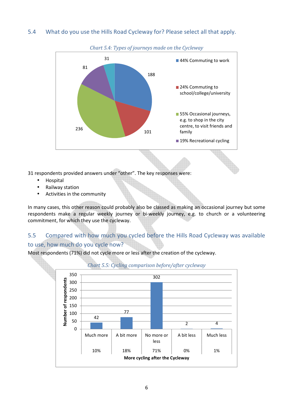#### 5.4 What do you use the Hills Road Cycleway for? Please select all that apply.



*Chart 5.4: Types of journeys made on the Cycleway* 

31 respondents provided answers under "other". The key responses were:

- Hospital
- Railway station
- Activities in the community

In many cases, this other reason could probably also be classed as making an occasional journey but some respondents make a regular weekly journey or bi-weekly journey, e.g. to church or a volunteering commitment, for which they use the cycleway.

#### 5.5 Compared with how much you cycled before the Hills Road Cycleway was available to use, how much do you cycle now?

Most respondents (71%) did not cycle more or less after the creation of the cycleway.



#### *Chart 5.5: Cycling comparison before/after cycleway*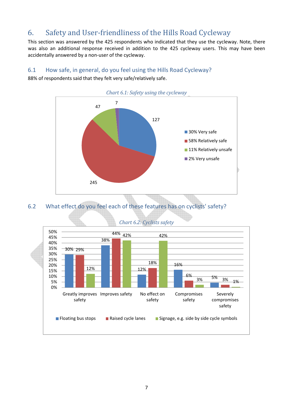# 6. Safety and User-friendliness of the Hills Road Cycleway

This section was answered by the 425 respondents who indicated that they use the cycleway. Note, there was also an additional response received in addition to the 425 cycleway users. This may have been accidentally answered by a non-user of the cycleway.

#### 6.1 How safe, in general, do you feel using the Hills Road Cycleway?

88% of respondents said that they felt very safe/relatively safe.



6.2 What effect do you feel each of these features has on cyclists' safety?



*Chart 6.2: Cyclists safety*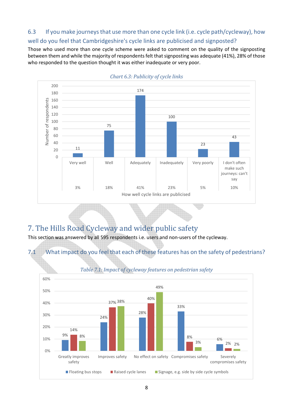# 6.3 If you make journeys that use more than one cycle link (i.e. cycle path/cycleway), how

well do you feel that Cambridgeshire's cycle links are publicised and signposted?

Those who used more than one cycle scheme were asked to comment on the quality of the signposting between them and while the majority of respondents felt that signposting was adequate (41%), 28% of those who responded to the question thought it was either inadequate or very poor.



UI

# 7. The Hills Road Cycleway and wider public safety

This section was answered by all 595 respondents i.e. users and non-users of the cycleway.



*Chart 6.3: Publicity of cycle links*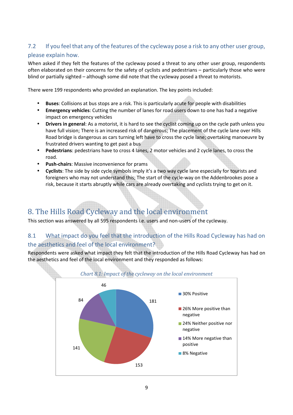#### 7.2 If you feel that any of the features of the cycleway pose a risk to any other user group,

#### please explain how.

When asked if they felt the features of the cycleway posed a threat to any other user group, respondents often elaborated on their concerns for the safety of cyclists and pedestrians – particularly those who were blind or partially sighted – although some did note that the cycleway posed a threat to motorists.

There were 199 respondents who provided an explanation. The key points included:

- **Buses**: Collisions at bus stops are a risk. This is particularly acute for people with disabilities
- **Emergency vehicles**: Cutting the number of lanes for road users down to one has had a negative impact on emergency vehicles
- **Drivers in general**: As a motorist, it is hard to see the cyclist coming up on the cycle path unless you have full vision; There is an increased risk of dangerous; The placement of the cycle lane over Hills Road bridge is dangerous as cars turning left have to cross the cycle lane; overtaking manoeuvre by frustrated drivers wanting to get past a bus
- **Pedestrians**: pedestrians have to cross 4 lanes, 2 motor vehicles and 2 cycle lanes, to cross the road.
- **Push-chairs**: Massive inconvenience for prams
- **Cyclists**: The side by side cycle symbols imply it's a two way cycle lane especially for tourists and foreigners who may not understand this; The start of the cycle-way on the Addenbrookes pose a risk, because it starts abruptly while cars are already overtaking and cyclists trying to get on it.

# 8. The Hills Road Cycleway and the local environment

This section was answered by all 595 respondents i.e. users and non-users of the cycleway.

#### 8.1 What impact do you feel that the introduction of the Hills Road Cycleway has had on the aesthetics and feel of the local environment?

Respondents were asked what impact they felt that the introduction of the Hills Road Cycleway has had on the aesthetics and feel of the local environment and they responded as follows:

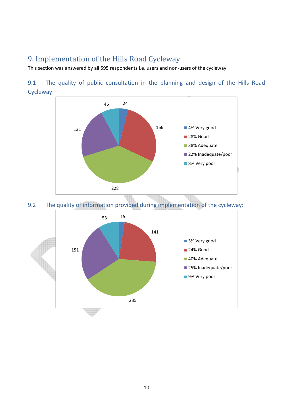# 9. Implementation of the Hills Road Cycleway

This section was answered by all 595 respondents i.e. users and non-users of the cycleway.

9.1 The quality of public consultation in the planning and design of the Hills Road Cycleway:



9.2 The quality of information provided during implementation of the cycleway:

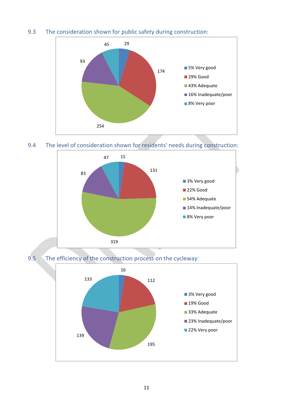#### 9.3 The consideration shown for public safety during construction:



9.4 The level of consideration shown for residents' needs during construction: